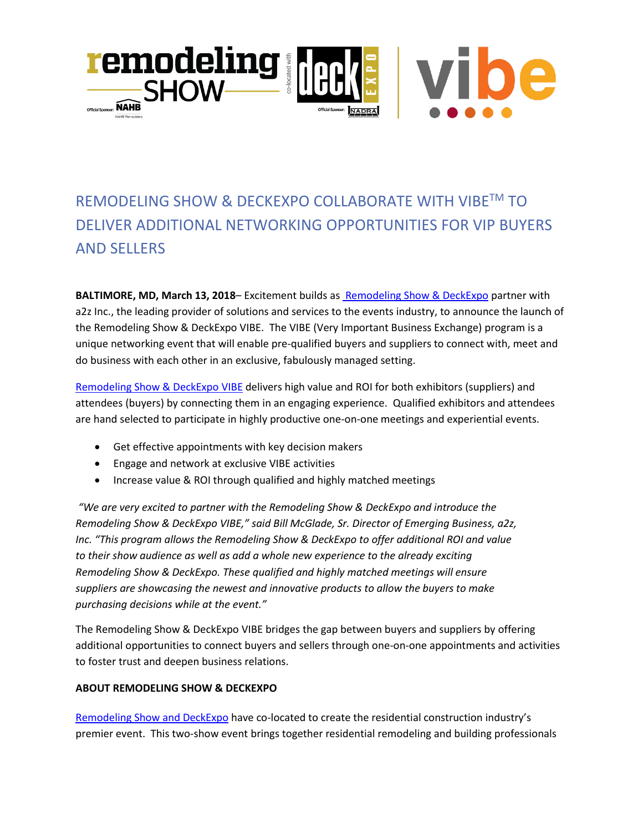

## REMODELING SHOW & DECKEXPO COLLABORATE WITH VIBETM TO DELIVER ADDITIONAL NETWORKING OPPORTUNITIES FOR VIP BUYERS AND SELLERS

**BALTIMORE, MD, March 13, 2018**– Excitement builds as [Remodeling Show &](https://www.remodelingdeck.com/en/home.html) DeckExpo partner with a2z Inc., the leading provider of solutions and services to the events industry, to announce the launch of the Remodeling Show & DeckExpo VIBE. The VIBE (Very Important Business Exchange) program is a unique networking event that will enable pre-qualified buyers and suppliers to connect with, meet and do business with each other in an exclusive, fabulously managed setting.

[Remodeling Show & DeckExpo VIBE](https://www.remodelingdeck.com/en/exhibitor/vibe.html) delivers high value and ROI for both exhibitors (suppliers) and attendees (buyers) by connecting them in an engaging experience. Qualified exhibitors and attendees are hand selected to participate in highly productive one-on-one meetings and experiential events.

- Get effective appointments with key decision makers
- Engage and network at exclusive VIBE activities
- Increase value & ROI through qualified and highly matched meetings

*"We are very excited to partner with the Remodeling Show & DeckExpo and introduce the Remodeling Show & DeckExpo VIBE," said Bill McGlade, Sr. Director of Emerging Business, a2z, Inc. "This program allows the Remodeling Show & DeckExpo to offer additional ROI and value to their show audience as well as add a whole new experience to the already exciting Remodeling Show & DeckExpo. These qualified and highly matched meetings will ensure suppliers are showcasing the newest and innovative products to allow the buyers to make purchasing decisions while at the event."* 

The Remodeling Show & DeckExpo VIBE bridges the gap between buyers and suppliers by offering additional opportunities to connect buyers and sellers through one-on-one appointments and activities to foster trust and deepen business relations.

## **ABOUT REMODELING SHOW & DECKEXPO**

[Remodeling Show and DeckExpo](https://www.remodelingdeck.com/en/home.html) have co-located to create the residential construction industry's premier event. This two-show event brings together residential remodeling and building professionals